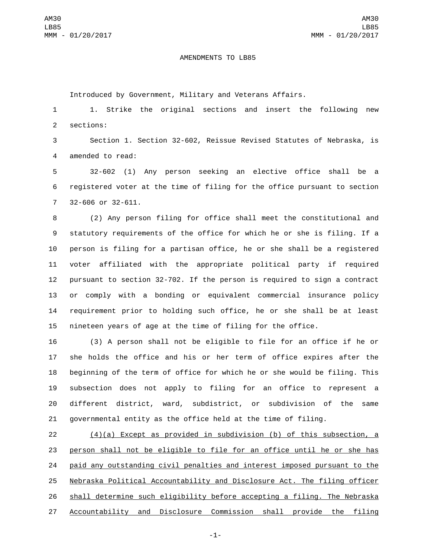## AMENDMENTS TO LB85

Introduced by Government, Military and Veterans Affairs.

 1. Strike the original sections and insert the following new 2 sections:

 Section 1. Section 32-602, Reissue Revised Statutes of Nebraska, is 4 amended to read:

 32-602 (1) Any person seeking an elective office shall be a registered voter at the time of filing for the office pursuant to section 7 32-606 or 32-611.

 (2) Any person filing for office shall meet the constitutional and statutory requirements of the office for which he or she is filing. If a person is filing for a partisan office, he or she shall be a registered voter affiliated with the appropriate political party if required pursuant to section 32-702. If the person is required to sign a contract or comply with a bonding or equivalent commercial insurance policy requirement prior to holding such office, he or she shall be at least nineteen years of age at the time of filing for the office.

 (3) A person shall not be eligible to file for an office if he or she holds the office and his or her term of office expires after the beginning of the term of office for which he or she would be filing. This subsection does not apply to filing for an office to represent a different district, ward, subdistrict, or subdivision of the same governmental entity as the office held at the time of filing.

 (4)(a) Except as provided in subdivision (b) of this subsection, a person shall not be eligible to file for an office until he or she has paid any outstanding civil penalties and interest imposed pursuant to the Nebraska Political Accountability and Disclosure Act. The filing officer shall determine such eligibility before accepting a filing. The Nebraska Accountability and Disclosure Commission shall provide the filing

-1-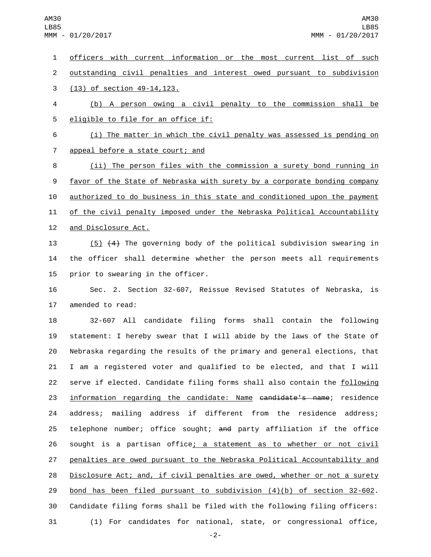officers with current information or the most current list of such outstanding civil penalties and interest owed pursuant to subdivision (13) of section 49-14, 123. (b) A person owing a civil penalty to the commission shall be 5 eligible to file for an office if: (i) The matter in which the civil penalty was assessed is pending on 7 appeal before a state court; and (ii) The person files with the commission a surety bond running in 9 favor of the State of Nebraska with surety by a corporate bonding company authorized to do business in this state and conditioned upon the payment of the civil penalty imposed under the Nebraska Political Accountability 12 and Disclosure Act. (5) (4) The governing body of the political subdivision swearing in the officer shall determine whether the person meets all requirements 15 prior to swearing in the officer. Sec. 2. Section 32-607, Reissue Revised Statutes of Nebraska, is 17 amended to read: 32-607 All candidate filing forms shall contain the following

 statement: I hereby swear that I will abide by the laws of the State of Nebraska regarding the results of the primary and general elections, that I am a registered voter and qualified to be elected, and that I will 22 serve if elected. Candidate filing forms shall also contain the following 23 information regarding the candidate: Name <del>candidate's name</del>; residence address; mailing address if different from the residence address; 25 telephone number; office sought; and party affiliation if the office 26 sought is a partisan office; a statement as to whether or not civil penalties are owed pursuant to the Nebraska Political Accountability and Disclosure Act; and, if civil penalties are owed, whether or not a surety bond has been filed pursuant to subdivision (4)(b) of section 32-602. Candidate filing forms shall be filed with the following filing officers: (1) For candidates for national, state, or congressional office,

-2-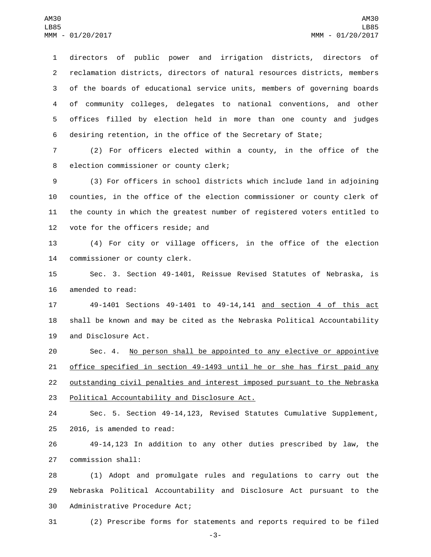directors of public power and irrigation districts, directors of reclamation districts, directors of natural resources districts, members of the boards of educational service units, members of governing boards of community colleges, delegates to national conventions, and other offices filled by election held in more than one county and judges desiring retention, in the office of the Secretary of State;

7 (2) For officers elected within a county, in the office of the 8 election commissioner or county clerk;

 (3) For officers in school districts which include land in adjoining counties, in the office of the election commissioner or county clerk of the county in which the greatest number of registered voters entitled to 12 vote for the officers reside; and

13 (4) For city or village officers, in the office of the election 14 commissioner or county clerk.

15 Sec. 3. Section 49-1401, Reissue Revised Statutes of Nebraska, is 16 amended to read:

17 49-1401 Sections 49-1401 to 49-14,141 and section 4 of this act 18 shall be known and may be cited as the Nebraska Political Accountability 19 and Disclosure Act.

 Sec. 4. No person shall be appointed to any elective or appointive office specified in section 49-1493 until he or she has first paid any outstanding civil penalties and interest imposed pursuant to the Nebraska 23 Political Accountability and Disclosure Act.

24 Sec. 5. Section 49-14,123, Revised Statutes Cumulative Supplement, 25 2016, is amended to read:

26 49-14,123 In addition to any other duties prescribed by law, the 27 commission shall:

28 (1) Adopt and promulgate rules and regulations to carry out the 29 Nebraska Political Accountability and Disclosure Act pursuant to the 30 Administrative Procedure Act;

31 (2) Prescribe forms for statements and reports required to be filed

-3-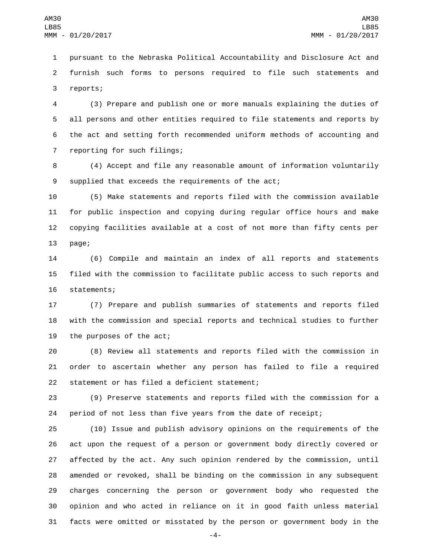pursuant to the Nebraska Political Accountability and Disclosure Act and furnish such forms to persons required to file such statements and 3 reports;

 (3) Prepare and publish one or more manuals explaining the duties of all persons and other entities required to file statements and reports by the act and setting forth recommended uniform methods of accounting and 7 reporting for such filings;

 (4) Accept and file any reasonable amount of information voluntarily 9 supplied that exceeds the requirements of the act;

 (5) Make statements and reports filed with the commission available for public inspection and copying during regular office hours and make copying facilities available at a cost of not more than fifty cents per 13 page;

 (6) Compile and maintain an index of all reports and statements filed with the commission to facilitate public access to such reports and 16 statements;

 (7) Prepare and publish summaries of statements and reports filed with the commission and special reports and technical studies to further 19 the purposes of the act;

 (8) Review all statements and reports filed with the commission in order to ascertain whether any person has failed to file a required 22 statement or has filed a deficient statement;

 (9) Preserve statements and reports filed with the commission for a period of not less than five years from the date of receipt;

 (10) Issue and publish advisory opinions on the requirements of the act upon the request of a person or government body directly covered or affected by the act. Any such opinion rendered by the commission, until amended or revoked, shall be binding on the commission in any subsequent charges concerning the person or government body who requested the opinion and who acted in reliance on it in good faith unless material facts were omitted or misstated by the person or government body in the

-4-